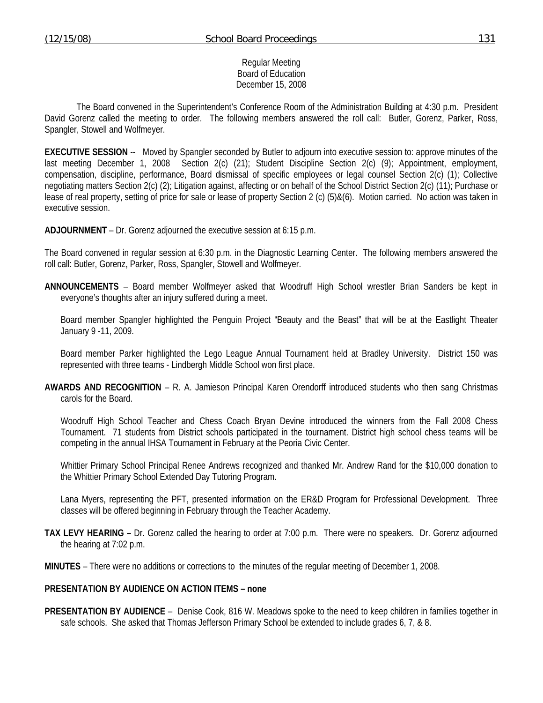#### Regular Meeting Board of Education December 15, 2008

 The Board convened in the Superintendent's Conference Room of the Administration Building at 4:30 p.m. President David Gorenz called the meeting to order. The following members answered the roll call: Butler, Gorenz, Parker, Ross, Spangler, Stowell and Wolfmeyer.

**EXECUTIVE SESSION** -- Moved by Spangler seconded by Butler to adjourn into executive session to: approve minutes of the last meeting December 1, 2008 Section 2(c) (21); Student Discipline Section 2(c) (9); Appointment, employment, compensation, discipline, performance, Board dismissal of specific employees or legal counsel Section 2(c) (1); Collective negotiating matters Section 2(c) (2); Litigation against, affecting or on behalf of the School District Section 2(c) (11); Purchase or lease of real property, setting of price for sale or lease of property Section 2 (c) (5)&(6). Motion carried. No action was taken in executive session.

**ADJOURNMENT** – Dr. Gorenz adjourned the executive session at 6:15 p.m.

The Board convened in regular session at 6:30 p.m. in the Diagnostic Learning Center. The following members answered the roll call: Butler, Gorenz, Parker, Ross, Spangler, Stowell and Wolfmeyer.

**ANNOUNCEMENTS** – Board member Wolfmeyer asked that Woodruff High School wrestler Brian Sanders be kept in everyone's thoughts after an injury suffered during a meet.

 Board member Spangler highlighted the Penguin Project "Beauty and the Beast" that will be at the Eastlight Theater January 9 -11, 2009.

 Board member Parker highlighted the Lego League Annual Tournament held at Bradley University. District 150 was represented with three teams - Lindbergh Middle School won first place.

**AWARDS AND RECOGNITION** – R. A. Jamieson Principal Karen Orendorff introduced students who then sang Christmas carols for the Board.

 Woodruff High School Teacher and Chess Coach Bryan Devine introduced the winners from the Fall 2008 Chess Tournament. 71 students from District schools participated in the tournament. District high school chess teams will be competing in the annual IHSA Tournament in February at the Peoria Civic Center.

 Whittier Primary School Principal Renee Andrews recognized and thanked Mr. Andrew Rand for the \$10,000 donation to the Whittier Primary School Extended Day Tutoring Program.

 Lana Myers, representing the PFT, presented information on the ER&D Program for Professional Development. Three classes will be offered beginning in February through the Teacher Academy.

- **TAX LEVY HEARING** Dr. Gorenz called the hearing to order at 7:00 p.m. There were no speakers. Dr. Gorenz adjourned the hearing at 7:02 p.m.
- **MINUTES** There were no additions or corrections to the minutes of the regular meeting of December 1, 2008.

## **PRESENTATION BY AUDIENCE ON ACTION ITEMS – none**

**PRESENTATION BY AUDIENCE** – Denise Cook, 816 W. Meadows spoke to the need to keep children in families together in safe schools. She asked that Thomas Jefferson Primary School be extended to include grades 6, 7, & 8.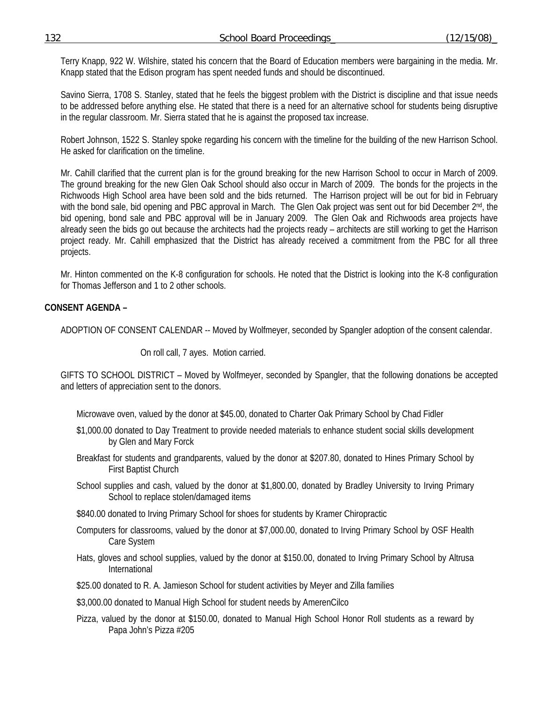Terry Knapp, 922 W. Wilshire, stated his concern that the Board of Education members were bargaining in the media. Mr. Knapp stated that the Edison program has spent needed funds and should be discontinued.

 Savino Sierra, 1708 S. Stanley, stated that he feels the biggest problem with the District is discipline and that issue needs to be addressed before anything else. He stated that there is a need for an alternative school for students being disruptive in the regular classroom. Mr. Sierra stated that he is against the proposed tax increase.

 Robert Johnson, 1522 S. Stanley spoke regarding his concern with the timeline for the building of the new Harrison School. He asked for clarification on the timeline.

 Mr. Cahill clarified that the current plan is for the ground breaking for the new Harrison School to occur in March of 2009. The ground breaking for the new Glen Oak School should also occur in March of 2009. The bonds for the projects in the Richwoods High School area have been sold and the bids returned. The Harrison project will be out for bid in February with the bond sale, bid opening and PBC approval in March. The Glen Oak project was sent out for bid December 2<sup>nd</sup>, the bid opening, bond sale and PBC approval will be in January 2009. The Glen Oak and Richwoods area projects have already seen the bids go out because the architects had the projects ready – architects are still working to get the Harrison project ready. Mr. Cahill emphasized that the District has already received a commitment from the PBC for all three projects.

 Mr. Hinton commented on the K-8 configuration for schools. He noted that the District is looking into the K-8 configuration for Thomas Jefferson and 1 to 2 other schools.

## **CONSENT AGENDA –**

ADOPTION OF CONSENT CALENDAR -- Moved by Wolfmeyer, seconded by Spangler adoption of the consent calendar.

On roll call, 7 ayes. Motion carried.

GIFTS TO SCHOOL DISTRICT – Moved by Wolfmeyer, seconded by Spangler, that the following donations be accepted and letters of appreciation sent to the donors.

Microwave oven, valued by the donor at \$45.00, donated to Charter Oak Primary School by Chad Fidler

- \$1,000.00 donated to Day Treatment to provide needed materials to enhance student social skills development by Glen and Mary Forck
- Breakfast for students and grandparents, valued by the donor at \$207.80, donated to Hines Primary School by First Baptist Church
- School supplies and cash, valued by the donor at \$1,800.00, donated by Bradley University to Irving Primary School to replace stolen/damaged items
- \$840.00 donated to Irving Primary School for shoes for students by Kramer Chiropractic
- Computers for classrooms, valued by the donor at \$7,000.00, donated to Irving Primary School by OSF Health Care System
- Hats, gloves and school supplies, valued by the donor at \$150.00, donated to Irving Primary School by Altrusa International
- \$25.00 donated to R. A. Jamieson School for student activities by Meyer and Zilla families

\$3,000.00 donated to Manual High School for student needs by AmerenCilco

Pizza, valued by the donor at \$150.00, donated to Manual High School Honor Roll students as a reward by Papa John's Pizza #205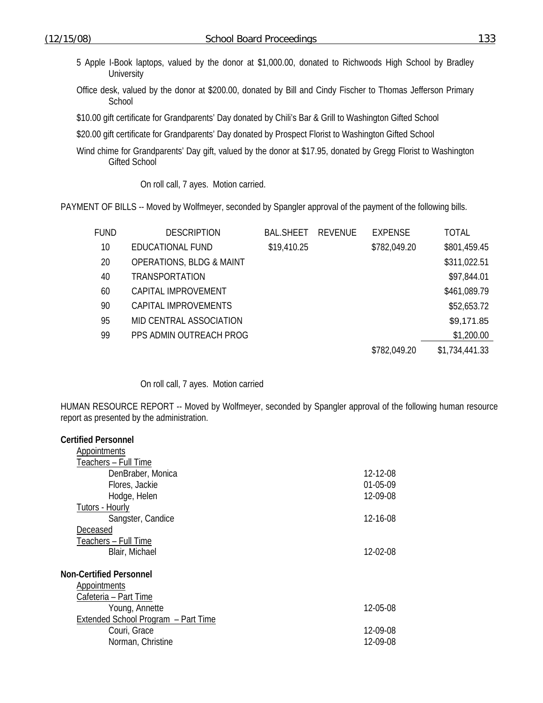- 5 Apple I-Book laptops, valued by the donor at \$1,000.00, donated to Richwoods High School by Bradley **University**
- Office desk, valued by the donor at \$200.00, donated by Bill and Cindy Fischer to Thomas Jefferson Primary **School**
- \$10.00 gift certificate for Grandparents' Day donated by Chili's Bar & Grill to Washington Gifted School
- \$20.00 gift certificate for Grandparents' Day donated by Prospect Florist to Washington Gifted School
- Wind chime for Grandparents' Day gift, valued by the donor at \$17.95, donated by Gregg Florist to Washington Gifted School

### On roll call, 7 ayes. Motion carried.

PAYMENT OF BILLS -- Moved by Wolfmeyer, seconded by Spangler approval of the payment of the following bills.

| <b>FUND</b> | <b>DESCRIPTION</b>                  | <b>BAL.SHEET</b> | REVENUE | <b>EXPENSE</b> | <b>TOTAL</b>   |
|-------------|-------------------------------------|------------------|---------|----------------|----------------|
| 10          | EDUCATIONAL FUND                    | \$19,410.25      |         | \$782,049.20   | \$801,459.45   |
| 20          | <b>OPERATIONS, BLDG &amp; MAINT</b> |                  |         |                | \$311,022.51   |
| 40          | <b>TRANSPORTATION</b>               |                  |         |                | \$97,844.01    |
| 60          | CAPITAL IMPROVEMENT                 |                  |         |                | \$461,089.79   |
| 90          | CAPITAL IMPROVEMENTS                |                  |         |                | \$52,653.72    |
| 95          | MID CENTRAL ASSOCIATION             |                  |         |                | \$9,171.85     |
| 99          | PPS ADMIN OUTREACH PROG             |                  |         |                | \$1,200.00     |
|             |                                     |                  |         | \$782,049.20   | \$1,734,441.33 |

#### On roll call, 7 ayes. Motion carried

HUMAN RESOURCE REPORT -- Moved by Wolfmeyer, seconded by Spangler approval of the following human resource report as presented by the administration.

| <b>Certified Personnel</b>          |          |
|-------------------------------------|----------|
| <b>Appointments</b>                 |          |
| Teachers - Full Time                |          |
| DenBraber, Monica                   | 12-12-08 |
| Flores, Jackie                      | 01-05-09 |
| Hodge, Helen                        | 12-09-08 |
| Tutors - Hourly                     |          |
| Sangster, Candice                   | 12-16-08 |
| Deceased                            |          |
| Teachers - Full Time                |          |
| Blair, Michael                      | 12-02-08 |
|                                     |          |
| <b>Non-Certified Personnel</b>      |          |
| Appointments                        |          |
| Cafeteria - Part Time               |          |
| Young, Annette                      | 12-05-08 |
| Extended School Program - Part Time |          |
| Couri, Grace                        | 12-09-08 |
| Norman, Christine                   | 12-09-08 |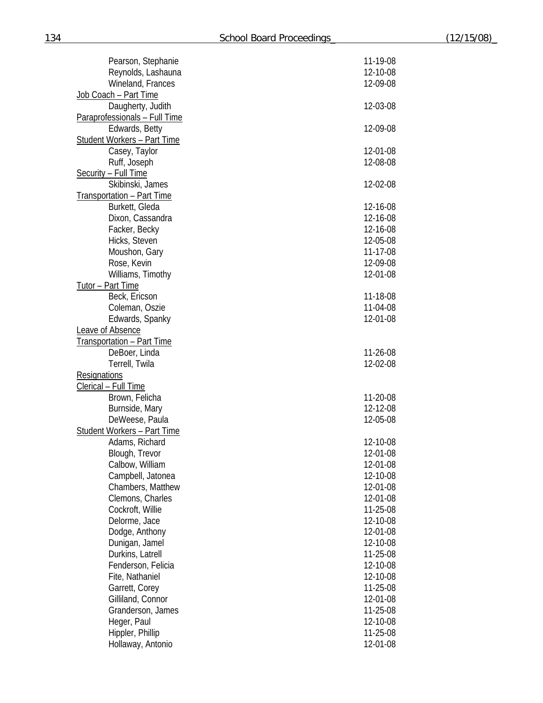| Pearson, Stephanie                          | 11-19-08             |
|---------------------------------------------|----------------------|
| Reynolds, Lashauna                          | 12-10-08             |
| Wineland, Frances                           | 12-09-08             |
| Job Coach - Part Time                       |                      |
| Daugherty, Judith                           | 12-03-08             |
| Paraprofessionals - Full Time               |                      |
| Edwards, Betty                              | 12-09-08             |
| <b>Student Workers - Part Time</b>          |                      |
| Casey, Taylor                               | 12-01-08             |
| Ruff, Joseph                                | 12-08-08             |
| <b>Security - Full Time</b>                 |                      |
| Skibinski, James                            | 12-02-08             |
| <b>Transportation - Part Time</b>           |                      |
| Burkett, Gleda                              | 12-16-08             |
| Dixon, Cassandra                            | 12-16-08             |
| Facker, Becky                               | 12-16-08             |
| Hicks, Steven                               | 12-05-08             |
| Moushon, Gary                               | 11-17-08             |
| Rose, Kevin                                 | 12-09-08             |
| Williams, Timothy                           | 12-01-08             |
| Tutor - Part Time                           |                      |
| Beck, Ericson                               | 11-18-08             |
| Coleman, Oszie                              | 11-04-08             |
| Edwards, Spanky                             | 12-01-08             |
| Leave of Absence                            |                      |
| <b>Transportation - Part Time</b>           |                      |
| DeBoer, Linda                               | 11-26-08<br>12-02-08 |
| Terrell, Twila                              |                      |
| <b>Resignations</b><br>Clerical - Full Time |                      |
| Brown, Felicha                              | 11-20-08             |
| Burnside, Mary                              | 12-12-08             |
| DeWeese, Paula                              | 12-05-08             |
| <b>Student Workers - Part Time</b>          |                      |
| Adams, Richard                              | 12-10-08             |
| Blough, Trevor                              | 12-01-08             |
| Calbow, William                             | 12-01-08             |
| Campbell, Jatonea                           | 12-10-08             |
| Chambers, Matthew                           | 12-01-08             |
| Clemons, Charles                            | 12-01-08             |
| Cockroft, Willie                            | 11-25-08             |
| Delorme, Jace                               | 12-10-08             |
| Dodge, Anthony                              | 12-01-08             |
| Dunigan, Jamel                              | 12-10-08             |
| Durkins, Latrell                            | 11-25-08             |
| Fenderson, Felicia                          | 12-10-08             |
| Fite, Nathaniel                             | 12-10-08             |
| Garrett, Corey                              | 11-25-08             |
| Gilliland, Connor                           | 12-01-08             |
| Granderson, James                           | 11-25-08             |
| Heger, Paul                                 | 12-10-08             |
| Hippler, Phillip                            | 11-25-08             |
| Hollaway, Antonio                           | 12-01-08             |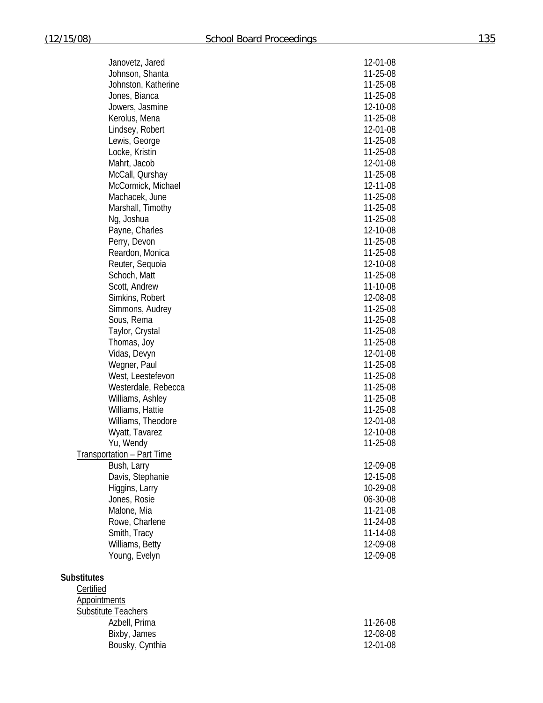| Janovetz, Jared            | 12-01-08 |
|----------------------------|----------|
| Johnson, Shanta            | 11-25-08 |
| Johnston, Katherine        | 11-25-08 |
| Jones, Bianca              | 11-25-08 |
| Jowers, Jasmine            | 12-10-08 |
| Kerolus, Mena              | 11-25-08 |
| Lindsey, Robert            | 12-01-08 |
| Lewis, George              | 11-25-08 |
| Locke, Kristin             | 11-25-08 |
| Mahrt, Jacob               | 12-01-08 |
| McCall, Qurshay            | 11-25-08 |
| McCormick, Michael         | 12-11-08 |
| Machacek, June             | 11-25-08 |
| Marshall, Timothy          | 11-25-08 |
| Ng, Joshua                 | 11-25-08 |
| Payne, Charles             | 12-10-08 |
| Perry, Devon               | 11-25-08 |
| Reardon, Monica            | 11-25-08 |
| Reuter, Sequoia            | 12-10-08 |
| Schoch, Matt               | 11-25-08 |
| Scott, Andrew              | 11-10-08 |
| Simkins, Robert            | 12-08-08 |
| Simmons, Audrey            | 11-25-08 |
| Sous, Rema                 | 11-25-08 |
| Taylor, Crystal            | 11-25-08 |
| Thomas, Joy                | 11-25-08 |
| Vidas, Devyn               | 12-01-08 |
| Wegner, Paul               | 11-25-08 |
| West, Leestefevon          | 11-25-08 |
| Westerdale, Rebecca        | 11-25-08 |
| Williams, Ashley           | 11-25-08 |
| Williams, Hattie           | 11-25-08 |
| Williams, Theodore         | 12-01-08 |
| Wyatt, Tavarez             | 12-10-08 |
| Yu, Wendy                  | 11-25-08 |
| Transportation - Part Time |          |
| Bush, Larry                | 12-09-08 |
| Davis, Stephanie           | 12-15-08 |
| Higgins, Larry             | 10-29-08 |
| Jones, Rosie               | 06-30-08 |
| Malone, Mia                | 11-21-08 |
| Rowe, Charlene             | 11-24-08 |
| Smith, Tracy               | 11-14-08 |
| Williams, Betty            | 12-09-08 |
| Young, Evelyn              | 12-09-08 |
|                            |          |

# **Substitutes**

| Certified                  |            |
|----------------------------|------------|
| Appointments               |            |
| <b>Substitute Teachers</b> |            |
| Azbell, Prima              | $11-26-08$ |
| Bixby, James               | 12-08-08   |
| Bousky, Cynthia            | 12-01-08   |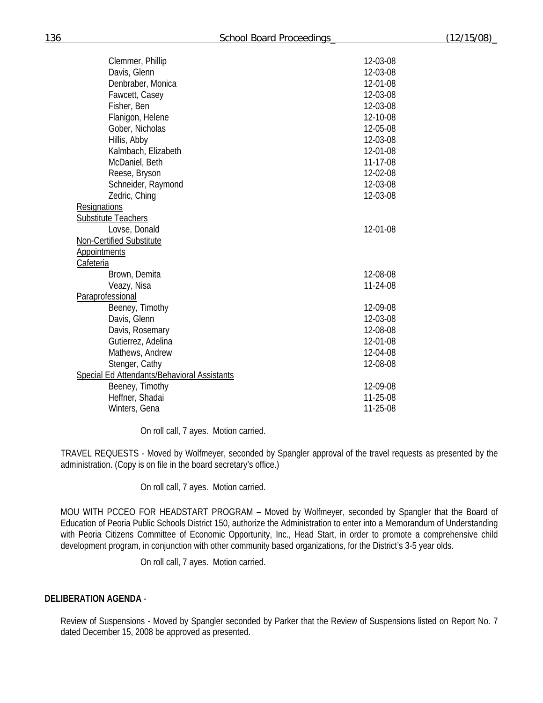| Clemmer, Phillip                            | 12-03-08       |
|---------------------------------------------|----------------|
| Davis, Glenn                                | 12-03-08       |
| Denbraber, Monica                           | 12-01-08       |
| Fawcett, Casey                              | 12-03-08       |
| Fisher, Ben                                 | 12-03-08       |
| Flanigon, Helene                            | 12-10-08       |
| Gober, Nicholas                             | 12-05-08       |
| Hillis, Abby                                | 12-03-08       |
| Kalmbach, Elizabeth                         | 12-01-08       |
| McDaniel, Beth                              | 11-17-08       |
| Reese, Bryson                               | 12-02-08       |
| Schneider, Raymond                          | 12-03-08       |
| Zedric, Ching                               | 12-03-08       |
| Resignations                                |                |
| <b>Substitute Teachers</b>                  |                |
| Lovse, Donald                               | 12-01-08       |
| Non-Certified Substitute                    |                |
| <b>Appointments</b>                         |                |
| Cafeteria                                   |                |
| Brown, Demita                               | 12-08-08       |
| Veazy, Nisa                                 | 11-24-08       |
| Paraprofessional                            |                |
| Beeney, Timothy                             | 12-09-08       |
| Davis, Glenn                                | 12-03-08       |
| Davis, Rosemary                             | 12-08-08       |
| Gutierrez, Adelina                          | 12-01-08       |
| Mathews, Andrew                             | 12-04-08       |
| Stenger, Cathy                              | 12-08-08       |
| Special Ed Attendants/Behavioral Assistants |                |
| Beeney, Timothy                             | 12-09-08       |
| Heffner, Shadai                             | $11 - 25 - 08$ |
| Winters, Gena                               | 11-25-08       |
|                                             |                |

On roll call, 7 ayes. Motion carried.

TRAVEL REQUESTS - Moved by Wolfmeyer, seconded by Spangler approval of the travel requests as presented by the administration. (Copy is on file in the board secretary's office.)

On roll call, 7 ayes. Motion carried.

MOU WITH PCCEO FOR HEADSTART PROGRAM – Moved by Wolfmeyer, seconded by Spangler that the Board of Education of Peoria Public Schools District 150, authorize the Administration to enter into a Memorandum of Understanding with Peoria Citizens Committee of Economic Opportunity, Inc., Head Start, in order to promote a comprehensive child development program, in conjunction with other community based organizations, for the District's 3-5 year olds.

On roll call, 7 ayes. Motion carried.

## **DELIBERATION AGENDA** -

Review of Suspensions - Moved by Spangler seconded by Parker that the Review of Suspensions listed on Report No. 7 dated December 15, 2008 be approved as presented.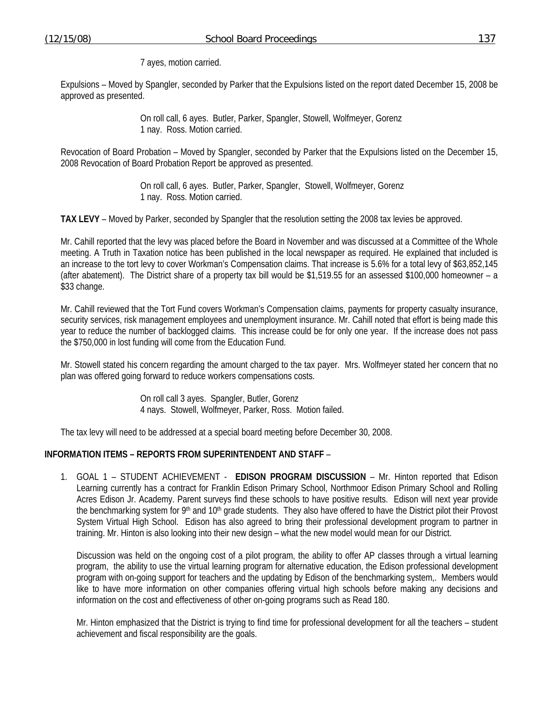7 ayes, motion carried.

Expulsions – Moved by Spangler, seconded by Parker that the Expulsions listed on the report dated December 15, 2008 be approved as presented.

> On roll call, 6 ayes. Butler, Parker, Spangler, Stowell, Wolfmeyer, Gorenz 1 nay. Ross. Motion carried.

Revocation of Board Probation – Moved by Spangler, seconded by Parker that the Expulsions listed on the December 15, 2008 Revocation of Board Probation Report be approved as presented.

> On roll call, 6 ayes. Butler, Parker, Spangler, Stowell, Wolfmeyer, Gorenz 1 nay. Ross. Motion carried.

**TAX LEVY** – Moved by Parker, seconded by Spangler that the resolution setting the 2008 tax levies be approved.

Mr. Cahill reported that the levy was placed before the Board in November and was discussed at a Committee of the Whole meeting. A Truth in Taxation notice has been published in the local newspaper as required. He explained that included is an increase to the tort levy to cover Workman's Compensation claims. That increase is 5.6% for a total levy of \$63,852,145 (after abatement). The District share of a property tax bill would be \$1,519.55 for an assessed \$100,000 homeowner – a \$33 change.

Mr. Cahill reviewed that the Tort Fund covers Workman's Compensation claims, payments for property casualty insurance, security services, risk management employees and unemployment insurance. Mr. Cahill noted that effort is being made this year to reduce the number of backlogged claims. This increase could be for only one year. If the increase does not pass the \$750,000 in lost funding will come from the Education Fund.

Mr. Stowell stated his concern regarding the amount charged to the tax payer. Mrs. Wolfmeyer stated her concern that no plan was offered going forward to reduce workers compensations costs.

> On roll call 3 ayes. Spangler, Butler, Gorenz 4 nays. Stowell, Wolfmeyer, Parker, Ross. Motion failed.

The tax levy will need to be addressed at a special board meeting before December 30, 2008.

#### **INFORMATION ITEMS – REPORTS FROM SUPERINTENDENT AND STAFF** –

1. GOAL 1 – STUDENT ACHIEVEMENT - **EDISON PROGRAM DISCUSSION** – Mr. Hinton reported that Edison Learning currently has a contract for Franklin Edison Primary School, Northmoor Edison Primary School and Rolling Acres Edison Jr. Academy. Parent surveys find these schools to have positive results. Edison will next year provide the benchmarking system for 9<sup>th</sup> and 10<sup>th</sup> grade students. They also have offered to have the District pilot their Provost System Virtual High School. Edison has also agreed to bring their professional development program to partner in training. Mr. Hinton is also looking into their new design – what the new model would mean for our District.

Discussion was held on the ongoing cost of a pilot program, the ability to offer AP classes through a virtual learning program, the ability to use the virtual learning program for alternative education, the Edison professional development program with on-going support for teachers and the updating by Edison of the benchmarking system,. Members would like to have more information on other companies offering virtual high schools before making any decisions and information on the cost and effectiveness of other on-going programs such as Read 180.

Mr. Hinton emphasized that the District is trying to find time for professional development for all the teachers – student achievement and fiscal responsibility are the goals.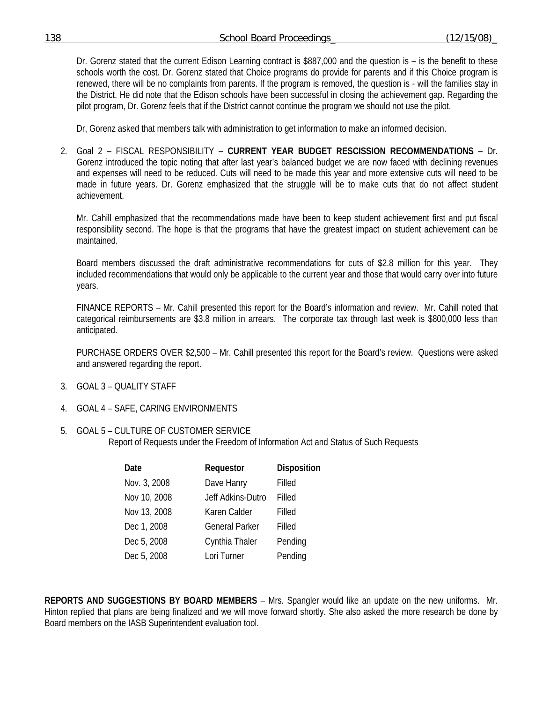| 138 | School Board Proceedings | (12/15/08) |
|-----|--------------------------|------------|
|     |                          |            |

Dr. Gorenz stated that the current Edison Learning contract is \$887,000 and the question is – is the benefit to these schools worth the cost. Dr. Gorenz stated that Choice programs do provide for parents and if this Choice program is renewed, there will be no complaints from parents. If the program is removed, the question is - will the families stay in the District. He did note that the Edison schools have been successful in closing the achievement gap. Regarding the pilot program, Dr. Gorenz feels that if the District cannot continue the program we should not use the pilot.

Dr, Gorenz asked that members talk with administration to get information to make an informed decision.

2. Goal 2 – FISCAL RESPONSIBILITY – **CURRENT YEAR BUDGET RESCISSION RECOMMENDATIONS** – Dr. Gorenz introduced the topic noting that after last year's balanced budget we are now faced with declining revenues and expenses will need to be reduced. Cuts will need to be made this year and more extensive cuts will need to be made in future years. Dr. Gorenz emphasized that the struggle will be to make cuts that do not affect student achievement.

Mr. Cahill emphasized that the recommendations made have been to keep student achievement first and put fiscal responsibility second. The hope is that the programs that have the greatest impact on student achievement can be maintained.

Board members discussed the draft administrative recommendations for cuts of \$2.8 million for this year. They included recommendations that would only be applicable to the current year and those that would carry over into future years.

 FINANCE REPORTS – Mr. Cahill presented this report for the Board's information and review. Mr. Cahill noted that categorical reimbursements are \$3.8 million in arrears. The corporate tax through last week is \$800,000 less than anticipated.

 PURCHASE ORDERS OVER \$2,500 – Mr. Cahill presented this report for the Board's review. Questions were asked and answered regarding the report.

- 3. GOAL 3 QUALITY STAFF
- 4. GOAL 4 SAFE, CARING ENVIRONMENTS
- 5. GOAL 5 CULTURE OF CUSTOMER SERVICE Report of Requests under the Freedom of Information Act and Status of Such Requests

| Date         | Requestor             | <b>Disposition</b> |
|--------------|-----------------------|--------------------|
| Nov. 3, 2008 | Dave Hanry            | Filled             |
| Nov 10, 2008 | Jeff Adkins-Dutro     | Filled             |
| Nov 13, 2008 | Karen Calder          | Filled             |
| Dec 1, 2008  | <b>General Parker</b> | Filled             |
| Dec 5, 2008  | Cynthia Thaler        | Pending            |
| Dec 5, 2008  | Lori Turner           | Pending            |

**REPORTS AND SUGGESTIONS BY BOARD MEMBERS** – Mrs. Spangler would like an update on the new uniforms. Mr. Hinton replied that plans are being finalized and we will move forward shortly. She also asked the more research be done by Board members on the IASB Superintendent evaluation tool.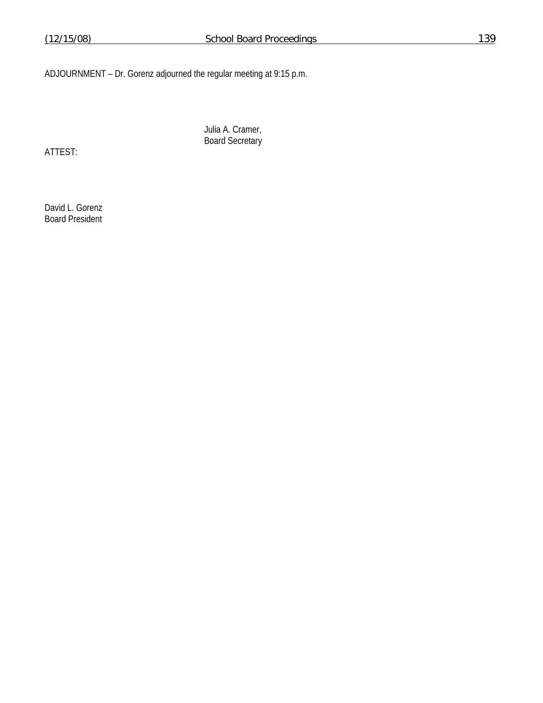ADJOURNMENT – Dr. Gorenz adjourned the regular meeting at 9:15 p.m.

ATTEST:

 Julia A. Cramer, Board Secretary

David L. Gorenz Board President